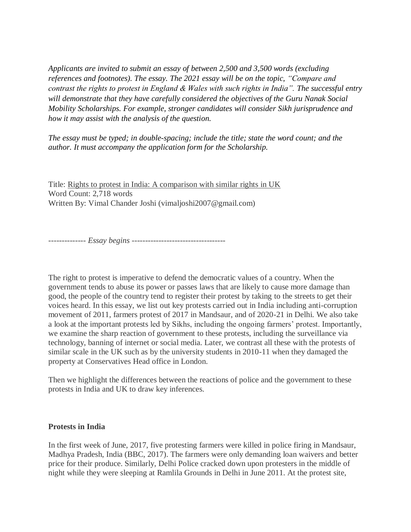*Applicants are invited to submit an essay of between 2,500 and 3,500 words (excluding references and footnotes). The essay. The 2021 essay will be on the topic, "Compare and contrast the rights to protest in England & Wales with such rights in India". The successful entry will demonstrate that they have carefully considered the objectives of the Guru Nanak Social Mobility Scholarships. For example, stronger candidates will consider Sikh jurisprudence and how it may assist with the analysis of the question.*

*The essay must be typed; in double-spacing; include the title; state the word count; and the author. It must accompany the application form for the Scholarship.*

Title: Rights to protest in India: A comparison with similar rights in UK Word Count: 2,718 words Written By: Vimal Chander Joshi (vimaljoshi2007@gmail.com)

*-------------- Essay begins -----------------------------------*

The right to protest is imperative to defend the democratic values of a country. When the government tends to abuse its power or passes laws that are likely to cause more damage than good, the people of the country tend to register their protest by taking to the streets to get their voices heard. In this essay, we list out key protests carried out in India including anti-corruption movement of 2011, farmers protest of 2017 in Mandsaur, and of 2020-21 in Delhi. We also take a look at the important protests led by Sikhs, including the ongoing farmers' protest. Importantly, we examine the sharp reaction of government to these protests, including the surveillance via technology, banning of internet or social media. Later, we contrast all these with the protests of similar scale in the UK such as by the university students in 2010-11 when they damaged the property at Conservatives Head office in London.

Then we highlight the differences between the reactions of police and the government to these protests in India and UK to draw key inferences.

## **Protests in India**

In the first week of June, 2017, five protesting farmers were killed in police firing in Mandsaur, Madhya Pradesh, India (BBC, 2017). The farmers were only demanding loan waivers and better price for their produce. Similarly, Delhi Police cracked down upon protesters in the middle of night while they were sleeping at Ramlila Grounds in Delhi in June 2011. At the protest site,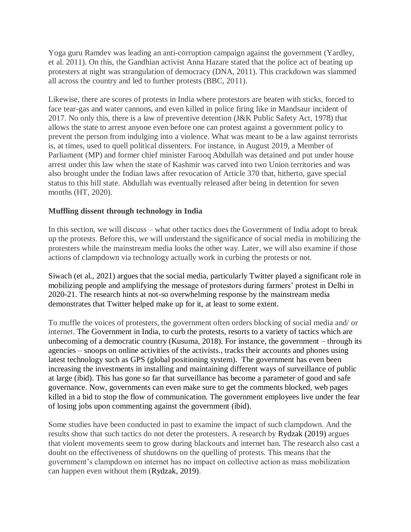Yoga guru Ramdev was leading an anti-corruption campaign against the government (Yardley, et al. 2011). On this, the Gandhian activist Anna Hazare stated that the police act of beating up protesters at night was strangulation of democracy (DNA, 2011). This crackdown was slammed all across the country and led to further protests (BBC, 2011).

Likewise, there are scores of protests in India where protestors are beaten with sticks, forced to face tear-gas and water cannons, and even killed in police firing like in Mandsaur incident of 2017. No only this, there is a law of preventive detention (J&K Public Safety Act, 1978) that allows the state to arrest anyone even before one can protest against a government policy to prevent the person from indulging into a violence. What was meant to be a law against terrorists is, at times, used to quell political dissenters. For instance, in August 2019, a Member of Parliament (MP) and former chief minister Farooq Abdullah was detained and put under house arrest under this law when the state of Kashmir was carved into two Union territories and was also brought under the Indian laws after revocation of Article 370 that, hitherto, gave special status to this hill state. Abdullah was eventually released after being in detention for seven months (HT, 2020).

# **Muffling dissent through technology in India**

In this section, we will discuss – what other tactics does the Government of India adopt to break up the protests. Before this, we will understand the significance of social media in mobilizing the protesters while the mainstream media looks the other way. Later, we will also examine if those actions of clampdown via technology actually work in curbing the protests or not.

Siwach (et al., 2021) argues that the social media, particularly Twitter played a significant role in mobilizing people and amplifying the message of protestors during farmers' protest in Delhi in 2020-21. The research hints at not-so overwhelming response by the mainstream media demonstrates that Twitter helped make up for it, at least to some extent.

To muffle the voices of protesters, the government often orders blocking of social media and/ or internet. The Government in India, to curb the protests, resorts to a variety of tactics which are unbecoming of a democratic country (Kusuma, 2018). For instance, the government – through its agencies – snoops on online activities of the activists., tracks their accounts and phones using latest technology such as GPS (global positioning system). The government has even been increasing the investments in installing and maintaining different ways of surveillance of public at large (ibid). This has gone so far that surveillance has become a parameter of good and safe governance. Now, governments can even make sure to get the comments blocked, web pages killed in a bid to stop the flow of communication. The government employees live under the fear of losing jobs upon commenting against the government (ibid).

Some studies have been conducted in past to examine the impact of such clampdown. And the results show that such tactics do not deter the protesters. A research by Rydzak (2019) argues that violent movements seem to grow during blackouts and internet ban. The research also cast a doubt on the effectiveness of shutdowns on the quelling of protests. This means that the government's clampdown on internet has no impact on collective action as mass mobilization can happen even without them (Rydzak, 2019).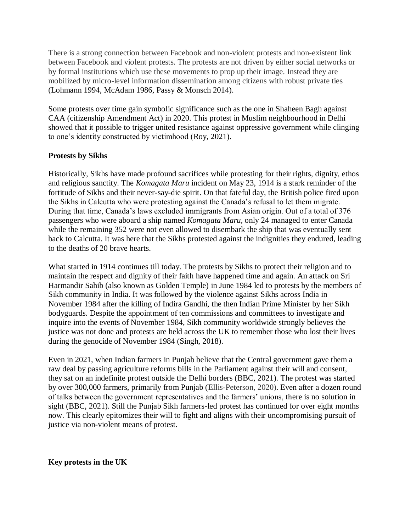There is a strong connection between Facebook and non-violent protests and non-existent link between Facebook and violent protests. The protests are not driven by either social networks or by formal institutions which use these movements to prop up their image. Instead they are mobilized by micro-level information dissemination among citizens with robust private ties (Lohmann 1994, McAdam 1986, Passy & Monsch 2014).

Some protests over time gain symbolic significance such as the one in Shaheen Bagh against CAA (citizenship Amendment Act) in 2020. This protest in Muslim neighbourhood in Delhi showed that it possible to trigger united resistance against oppressive government while clinging to one's identity constructed by victimhood (Roy, 2021).

# **Protests by Sikhs**

Historically, Sikhs have made profound sacrifices while protesting for their rights, dignity, ethos and religious sanctity. The *Komagata Maru* incident on May 23, 1914 is a stark reminder of the fortitude of Sikhs and their never-say-die spirit. On that fateful day, the British police fired upon the Sikhs in Calcutta who were protesting against the Canada's refusal to let them migrate. During that time, Canada's laws excluded immigrants from Asian origin. Out of a total of 376 passengers who were aboard a ship named *Komagata Maru*, only 24 managed to enter Canada while the remaining 352 were not even allowed to disembark the ship that was eventually sent back to Calcutta. It was here that the Sikhs protested against the indignities they endured, leading to the deaths of 20 brave hearts.

What started in 1914 continues till today. The protests by Sikhs to protect their religion and to maintain the respect and dignity of their faith have happened time and again. An attack on Sri Harmandir Sahib (also known as Golden Temple) in June 1984 led to protests by the members of Sikh community in India. It was followed by the violence against Sikhs across India in November 1984 after the killing of Indira Gandhi, the then Indian Prime Minister by her Sikh bodyguards. Despite the appointment of ten commissions and committees to investigate and inquire into the events of November 1984, Sikh community worldwide strongly believes the justice was not done and protests are held across the UK to remember those who lost their lives during the genocide of November 1984 (Singh, 2018).

Even in 2021, when Indian farmers in Punjab believe that the Central government gave them a raw deal by passing agriculture reforms bills in the Parliament against their will and consent, they sat on an indefinite protest outside the Delhi borders (BBC, 2021). The protest was started by over 300,000 farmers, primarily from Punjab (Ellis-Peterson, 2020). Even after a dozen round of talks between the government representatives and the farmers' unions, there is no solution in sight (BBC, 2021). Still the Punjab Sikh farmers-led protest has continued for over eight months now. This clearly epitomizes their will to fight and aligns with their uncompromising pursuit of justice via non-violent means of protest.

## **Key protests in the UK**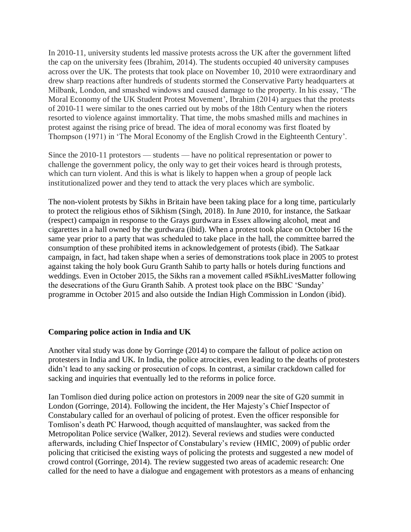In 2010-11, university students led massive protests across the UK after the government lifted the cap on the university fees (Ibrahim, 2014). The students occupied 40 university campuses across over the UK. The protests that took place on November 10, 2010 were extraordinary and drew sharp reactions after hundreds of students stormed the Conservative Party headquarters at Milbank, London, and smashed windows and caused damage to the property. In his essay, 'The Moral Economy of the UK Student Protest Movement', Ibrahim (2014) argues that the protests of 2010-11 were similar to the ones carried out by mobs of the 18th Century when the rioters resorted to violence against immortality. That time, the mobs smashed mills and machines in protest against the rising price of bread. The idea of moral economy was first floated by Thompson (1971) in 'The Moral Economy of the English Crowd in the Eighteenth Century'.

Since the 2010-11 protestors — students — have no political representation or power to challenge the government policy, the only way to get their voices heard is through protests, which can turn violent. And this is what is likely to happen when a group of people lack institutionalized power and they tend to attack the very places which are symbolic.

The non-violent protests by Sikhs in Britain have been taking place for a long time, particularly to protect the religious ethos of Sikhism (Singh, 2018). In June 2010, for instance, the Satkaar (respect) campaign in response to the Grays gurdwara in Essex allowing alcohol, meat and cigarettes in a hall owned by the gurdwara (ibid). When a protest took place on October 16 the same year prior to a party that was scheduled to take place in the hall, the committee barred the consumption of these prohibited items in acknowledgement of protests (ibid). The Satkaar campaign, in fact, had taken shape when a series of demonstrations took place in 2005 to protest against taking the holy book Guru Granth Sahib to party halls or hotels during functions and weddings. Even in October 2015, the Sikhs ran a movement called #SikhLivesMatter following the desecrations of the Guru Granth Sahib. A protest took place on the BBC 'Sunday' programme in October 2015 and also outside the Indian High Commission in London (ibid).

## **Comparing police action in India and UK**

Another vital study was done by Gorringe (2014) to compare the fallout of police action on protesters in India and UK. In India, the police atrocities, even leading to the deaths of protesters didn't lead to any sacking or prosecution of cops. In contrast, a similar crackdown called for sacking and inquiries that eventually led to the reforms in police force.

Ian Tomlison died during police action on protestors in 2009 near the site of G20 summit in London (Gorringe, 2014). Following the incident, the Her Majesty's Chief Inspector of Constabulary called for an overhaul of policing of protest. Even the officer responsible for Tomlison's death PC Harwood, though acquitted of manslaughter, was sacked from the Metropolitan Police service (Walker, 2012). Several reviews and studies were conducted afterwards, including Chief Inspector of Constabulary's review (HMIC, 2009) of public order policing that criticised the existing ways of policing the protests and suggested a new model of crowd control (Gorringe, 2014). The review suggested two areas of academic research: One called for the need to have a dialogue and engagement with protestors as a means of enhancing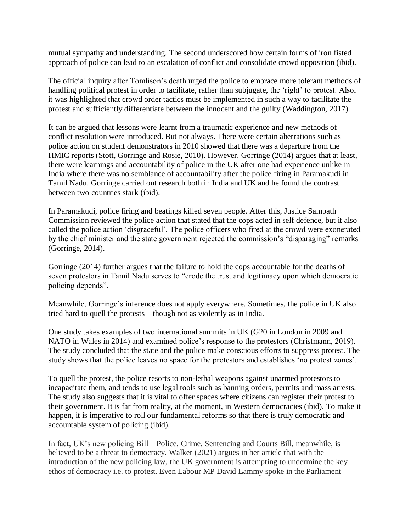mutual sympathy and understanding. The second underscored how certain forms of iron fisted approach of police can lead to an escalation of conflict and consolidate crowd opposition (ibid).

The official inquiry after Tomlison's death urged the police to embrace more tolerant methods of handling political protest in order to facilitate, rather than subjugate, the 'right' to protest. Also, it was highlighted that crowd order tactics must be implemented in such a way to facilitate the protest and sufficiently differentiate between the innocent and the guilty (Waddington, 2017).

It can be argued that lessons were learnt from a traumatic experience and new methods of conflict resolution were introduced. But not always. There were certain aberrations such as police action on student demonstrators in 2010 showed that there was a departure from the HMIC reports (Stott, Gorringe and Rosie, 2010). However, Gorringe (2014) argues that at least, there were learnings and accountability of police in the UK after one bad experience unlike in India where there was no semblance of accountability after the police firing in Paramakudi in Tamil Nadu. Gorringe carried out research both in India and UK and he found the contrast between two countries stark (ibid).

In Paramakudi, police firing and beatings killed seven people. After this, Justice Sampath Commission reviewed the police action that stated that the cops acted in self defence, but it also called the police action 'disgraceful'. The police officers who fired at the crowd were exonerated by the chief minister and the state government rejected the commission's "disparaging" remarks (Gorringe, 2014).

Gorringe (2014) further argues that the failure to hold the cops accountable for the deaths of seven protestors in Tamil Nadu serves to "erode the trust and legitimacy upon which democratic policing depends".

Meanwhile, Gorringe's inference does not apply everywhere. Sometimes, the police in UK also tried hard to quell the protests – though not as violently as in India.

One study takes examples of two international summits in UK (G20 in London in 2009 and NATO in Wales in 2014) and examined police's response to the protestors (Christmann, 2019). The study concluded that the state and the police make conscious efforts to suppress protest. The study shows that the police leaves no space for the protestors and establishes 'no protest zones'.

To quell the protest, the police resorts to non-lethal weapons against unarmed protestors to incapacitate them, and tends to use legal tools such as banning orders, permits and mass arrests. The study also suggests that it is vital to offer spaces where citizens can register their protest to their government. It is far from reality, at the moment, in Western democracies (ibid). To make it happen, it is imperative to roll our fundamental reforms so that there is truly democratic and accountable system of policing (ibid).

In fact, UK's new policing Bill – Police, Crime, Sentencing and Courts Bill, meanwhile, is believed to be a threat to democracy. Walker (2021) argues in her article that with the introduction of the new policing law, the UK government is attempting to undermine the key ethos of democracy i.e. to protest. Even Labour MP David Lammy spoke in the Parliament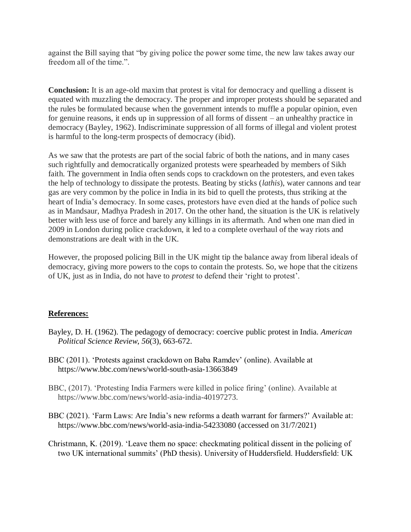against the Bill saying that "by giving police the power some time, the new law takes away our freedom all of the time.".

**Conclusion:** It is an age-old maxim that protest is vital for democracy and quelling a dissent is equated with muzzling the democracy. The proper and improper protests should be separated and the rules be formulated because when the government intends to muffle a popular opinion, even for genuine reasons, it ends up in suppression of all forms of dissent – an unhealthy practice in democracy (Bayley, 1962). Indiscriminate suppression of all forms of illegal and violent protest is harmful to the long-term prospects of democracy (ibid).

As we saw that the protests are part of the social fabric of both the nations, and in many cases such rightfully and democratically organized protests were spearheaded by members of Sikh faith. The government in India often sends cops to crackdown on the protesters, and even takes the help of technology to dissipate the protests. Beating by sticks (*lathis*), water cannons and tear gas are very common by the police in India in its bid to quell the protests, thus striking at the heart of India's democracy. In some cases, protestors have even died at the hands of police such as in Mandsaur, Madhya Pradesh in 2017. On the other hand, the situation is the UK is relatively better with less use of force and barely any killings in its aftermath. And when one man died in 2009 in London during police crackdown, it led to a complete overhaul of the way riots and demonstrations are dealt with in the UK.

However, the proposed policing Bill in the UK might tip the balance away from liberal ideals of democracy, giving more powers to the cops to contain the protests. So, we hope that the citizens of UK, just as in India, do not have to *protest* to defend their 'right to protest'.

# **References:**

- Bayley, D. H. (1962). The pedagogy of democracy: coercive public protest in India. *American Political Science Review*, *56*(3), 663-672.
- BBC (2011). 'Protests against crackdown on Baba Ramdev' (online). Available at https://www.bbc.com/news/world-south-asia-13663849
- BBC, (2017). 'Protesting India Farmers were killed in police firing' (online). Available at https://www.bbc.com/news/world-asia-india-40197273.
- BBC (2021). 'Farm Laws: Are India's new reforms a death warrant for farmers?' Available at: https://www.bbc.com/news/world-asia-india-54233080 (accessed on 31/7/2021)
- Christmann, K. (2019). 'Leave them no space: checkmating political dissent in the policing of two UK international summits' (PhD thesis). University of Huddersfield. Huddersfield: UK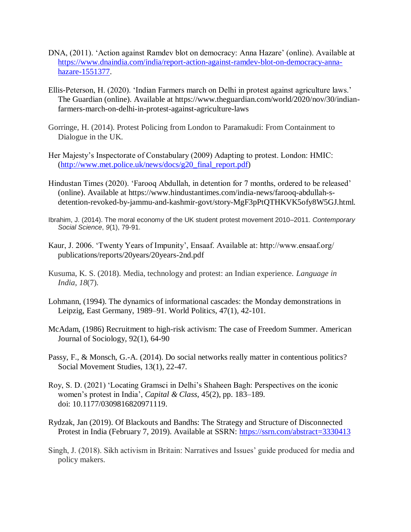- DNA, (2011). 'Action against Ramdev blot on democracy: Anna Hazare' (online). Available at [https://www.dnaindia.com/india/report-action-against-ramdev-blot-on-democracy-anna](https://www.dnaindia.com/india/report-action-against-ramdev-blot-on-democracy-anna-hazare-1551377)[hazare-1551377.](https://www.dnaindia.com/india/report-action-against-ramdev-blot-on-democracy-anna-hazare-1551377)
- Ellis-Peterson, H. (2020). 'Indian Farmers march on Delhi in protest against agriculture laws.' The Guardian (online). Available at https://www.theguardian.com/world/2020/nov/30/indianfarmers-march-on-delhi-in-protest-against-agriculture-laws
- Gorringe, H. (2014). Protest Policing from London to Paramakudi: From Containment to Dialogue in the UK.
- Her Majesty's Inspectorate of Constabulary (2009) Adapting to protest. London: HMIC: [\(http://www.met.police.uk/news/docs/g20\\_final\\_report.pdf\)](http://www.met.police.uk/news/docs/g20_final_report.pdf)
- Hindustan Times (2020). 'Farooq Abdullah, in detention for 7 months, ordered to be released' (online). Available at https://www.hindustantimes.com/india-news/farooq-abdullah-sdetention-revoked-by-jammu-and-kashmir-govt/story-MgF3pPtQTHKVK5ofy8W5GJ.html.
- Ibrahim, J. (2014). The moral economy of the UK student protest movement 2010–2011. *Contemporary Social Science*, *9*(1), 79-91.
- Kaur, J. 2006. 'Twenty Years of Impunity', Ensaaf. Available at: http://www.ensaaf.org/ publications/reports/20years/20years-2nd.pdf
- Kusuma, K. S. (2018). Media, technology and protest: an Indian experience. *Language in India*, *18*(7).
- Lohmann, (1994). The dynamics of informational cascades: the Monday demonstrations in Leipzig, East Germany, 1989–91. World Politics, 47(1), 42-101.
- McAdam, (1986) Recruitment to high-risk activism: The case of Freedom Summer. American Journal of Sociology, 92(1), 64-90
- Passy, F., & Monsch, G.-A. (2014). Do social networks really matter in contentious politics? Social Movement Studies, 13(1), 22-47.
- Roy, S. D. (2021) 'Locating Gramsci in Delhi's Shaheen Bagh: Perspectives on the iconic women's protest in India', *Capital & Class*, 45(2), pp. 183–189. doi: 10.1177/0309816820971119.
- Rydzak, Jan (2019). Of Blackouts and Bandhs: The Strategy and Structure of Disconnected Protest in India (February 7, 2019). Available at SSRN: <https://ssrn.com/abstract=3330413>
- Singh, J. (2018). Sikh activism in Britain: Narratives and Issues' guide produced for media and policy makers.